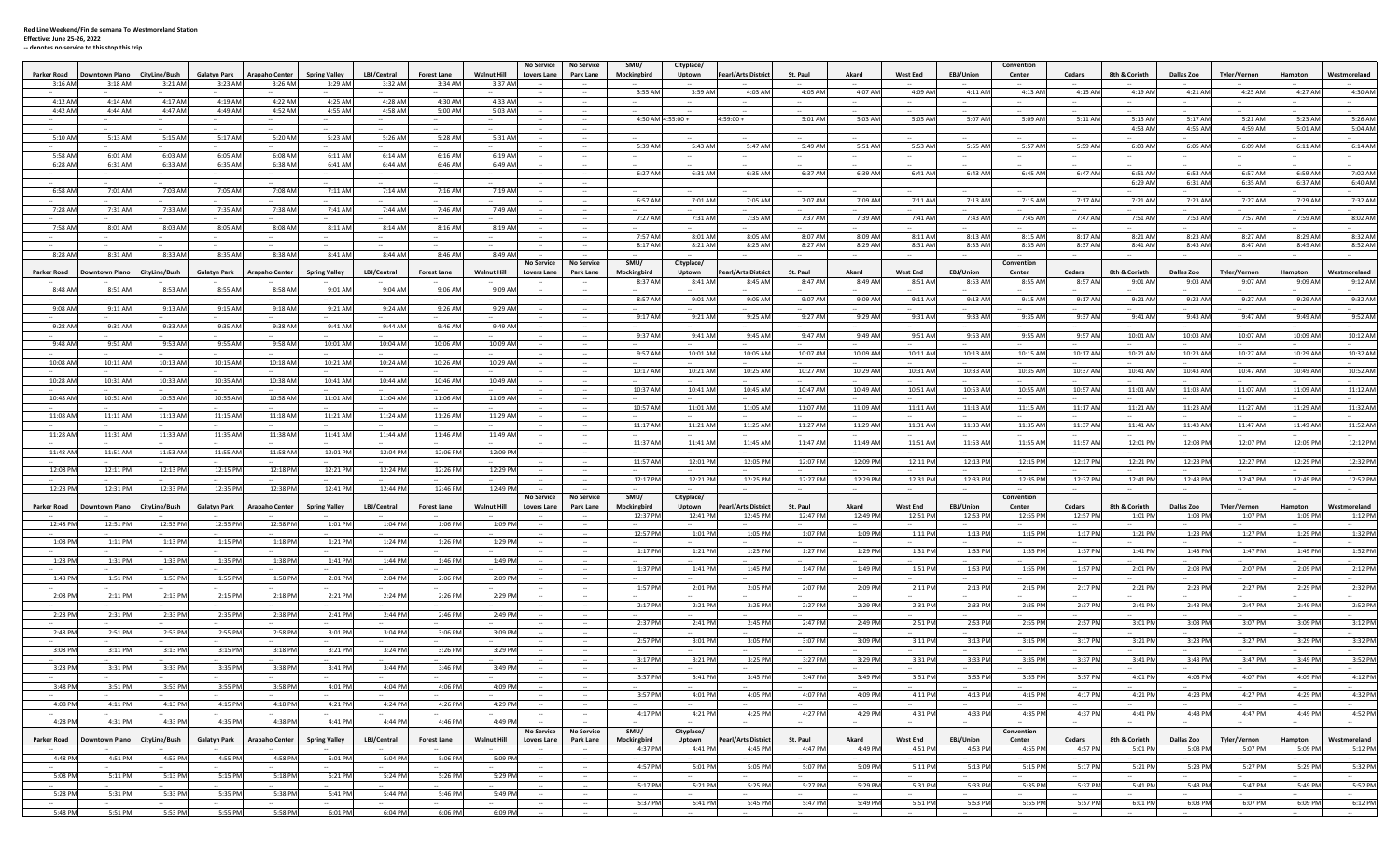## **Red Line Weekend/Fin de semana To Westmoreland Station Effective: June <sup>25</sup>‐26, <sup>2022</sup>**

**‐‐ denotes no service to this stop this trip**

| Parker Road        | <b>Downtown Plano</b> | CityLine/Bush      | Galatyn Park        | <b>Arapaho Center</b> | <b>Spring Valley</b> | LBJ/Central        | <b>Forest Lane</b>   | <b>Walnut Hill</b> | <b>No Service</b><br><b>Lovers Lane</b> | <b>No Service</b><br>Park Lane                | SMU/<br>Mockingbird     | Cityplace/<br>Uptown | <b>Pearl/Arts District</b>     | St. Paul             | Akard              | <b>West End</b>             | EBJ/Union             | Convention<br>Center | Cedars             | 8th & Corinth            | Dallas Zoo                   | Tyler/Vernon            | Hampton            | Westmoreland               |
|--------------------|-----------------------|--------------------|---------------------|-----------------------|----------------------|--------------------|----------------------|--------------------|-----------------------------------------|-----------------------------------------------|-------------------------|----------------------|--------------------------------|----------------------|--------------------|-----------------------------|-----------------------|----------------------|--------------------|--------------------------|------------------------------|-------------------------|--------------------|----------------------------|
| 3:16 AM            | 3:18 AM               | 3:21 AM            | 3:23 AM             | 3:26 AM               | 3:29 AM              | 3:32 AM            | 3:34 AM              | 3:37 AM            |                                         |                                               |                         |                      |                                |                      |                    |                             |                       |                      |                    |                          |                              |                         |                    |                            |
|                    |                       |                    |                     |                       |                      |                    |                      |                    |                                         | $\sim$                                        | 3:55 AM                 | 3:59 AM              | 4:03 AM                        | 4:05 AM              | 4:07 AM            | 4:09 AM                     | 4:11 AM               | 4:13 AM              | 4:15 AM            | 4:19 AM                  | 4:21 AM                      | 4:25 AM                 | 4:27 AM            | 4:30 AM                    |
| 4:12 AM<br>4:42 AM | 4:14 AM<br>4:44 AM    | 4:17 AM<br>4:47 AM | 4:19 AM<br>4:49 AM  | 4:22 AN<br>4:52 AN    | 4:25 AM<br>4:55 AM   | 4:28 AM<br>4:58 AM | $4:30$ AN<br>5:00 AM | 4:33 AM<br>5:03 AM |                                         |                                               |                         |                      |                                |                      | $\sim$             |                             | $\sim$                |                      |                    |                          |                              |                         |                    |                            |
|                    |                       |                    |                     |                       |                      |                    |                      |                    |                                         |                                               |                         | 4:50 AM 4:55:00 +    | $4:59:00 +$                    | 5:01 AN              | 5:03 AM            | 5:05 AM                     | 5:07 AN               | 5:09 AM              | 5:11 AM            | 5:15 AM                  | 5:17 AM                      | 5:21 AM                 | 5:23 AM            | 5:26 AM                    |
|                    |                       |                    |                     |                       |                      |                    |                      |                    |                                         |                                               |                         |                      |                                |                      |                    |                             |                       |                      |                    | 4:53 AM                  | 4:55 AM                      | 4:59 AM                 | 5:01 AM            | 5:04 AM                    |
| 5:10 AM            | 5:13 AM               | 5:15 AM            | 5:17 AM             | 5:20 AM               | 5:23 AM              | 5:26 AM            | 5:28 AM              | 5:31 AM            |                                         |                                               | 5:39 AM                 | 5:43 AM              | 5:47 AM                        | 5:49 AM              | 5:51 AM            | 5:53 AM                     | 5:55 AM               | 5:57 AM              | 5:59 AM            | 6:03 AM                  | 6:05 AM                      | 6:09 AM                 | 6:11 AM            | 6:14 AM                    |
| 5:58 AM            | 6:01 AM               | 6:03 AM            | 6:05 AM             | 6:08 AM               | 6:11 AM              | 6:14 AM            | 6:16 AM              | 6:19 AM            |                                         | $\sim$                                        | $\sim$                  | $\sim$               | $\sim$                         | $\sim$               | $\sim$             | $\sim$                      | $\sim$                | $\sim$               | $\sim$             | $\sim$                   | $\sim$                       | $\sim$                  | $\sim$             | $\sim$                     |
| 6:28 AM            | 6:31 AM               | 6:33 AM            | 6:35 AM             | 6:38 AN               | 6:41 AM              | 6:44 AM            | 6:46 AM              | 6:49 AM            |                                         |                                               | 6:27 AN                 | 6:31 AN              | 6:35 AM                        | 6:37 Af              | 6:39 AN            | 6:41 AM                     | 6:43 AM               | 6:45 AM              | 6:47 AM            | 6:51 AM                  | 6:53 AN                      | 6:57 AM                 | 6:59 AM            | 7:02 AM                    |
|                    |                       |                    |                     |                       |                      |                    |                      |                    |                                         |                                               |                         |                      |                                |                      |                    |                             |                       |                      |                    | 6:29 AM                  | 6:31 AM                      | 6:35 AM                 | 6:37 AM            | 6:40 AM                    |
| 6:58 AM            | 7:01 AM               | 7:03 AM            | 7:05 AM             | 7:08 AM               | 7:11 AM              | 7:14 AM            | 7:16 AM              | 7:19 AM            |                                         |                                               |                         |                      |                                |                      |                    |                             |                       |                      |                    |                          |                              |                         |                    |                            |
| 7:28 AM            | 7:31 AM               | 7:33 AM            | 7:35 AM             | 7:38 AM               | 7:41 AM              | 7:44 AM            | 7:46 AM              | 7:49 AM            |                                         | $\sim$                                        | 6:57 AM                 | 7:01 AM              | 7:05 AM                        | 7:07 AN              | 7:09 AM            | 7:11 AM                     | 7:13 AM               | 7:15 AM              | 7:17 AM            | 7:21 AM                  | 7:23 AM                      | 7:27 AM                 | 7:29 AM            | 7:32 AM                    |
|                    |                       |                    |                     |                       |                      |                    |                      |                    |                                         |                                               | 7:27 AM                 | 7:31 AM              | 7:35 AM                        | 7:37 AM              | 7:39 AM            | 7:41 AM                     | 7:43 AM               | 7:45 AM              | 7:47 AM            | 7:51 AM                  | 7:53 AM                      | 7:57 AM                 | 7:59 AM            | 8:02 AM                    |
| 7:58 AM            | 8:01 AM               | 8:03 AM            | 8:05 AM             | 8:08 AM               | 8:11 A               | 8:14 AM            | 8:16 AN              | 8:19 AM            |                                         |                                               |                         |                      |                                |                      |                    |                             |                       |                      |                    |                          |                              |                         |                    |                            |
|                    |                       |                    |                     |                       |                      |                    |                      |                    |                                         |                                               | 7:57 AM<br>8:17 AM      | 8:01 AM<br>8:21 AM   | 8:05 AM<br>8:25 AM             | 8:07 AM<br>8:27 AM   | 8:09 AM<br>8:29 AM | 8:11 AM<br>8:31 AM          | 8:13 AM<br>8:33 AN    | 8:15 AM<br>8:35 AM   | 8:17 AN<br>8:37 AN | 8:21 AM<br>8:41 AM       | 8:23 AM<br>8:43 AM           | 8:27 AM<br>8:47 AM      | 8:29 AM<br>8:49 AM | 8:32 AM<br>8:52 AM         |
| 8:28 AM            | 8:31 AM               | 8:33 AM            | 8:35 AM             | 8:38 AM               | 8:41 AM              | 8:44 AM            | 8:46 AM              | 8:49 AM            |                                         |                                               |                         |                      |                                |                      |                    |                             |                       |                      |                    |                          |                              |                         |                    |                            |
|                    |                       |                    |                     |                       |                      |                    |                      |                    | <b>No Service</b>                       | <b>No Service</b>                             | SMU/                    | Cityplace/           |                                |                      |                    |                             |                       | Convention           |                    |                          |                              |                         |                    |                            |
| Parker Road        | <b>Jowntown Plano</b> | CityLine/Bush      | Galatyn Park        | <b>Arapaho Center</b> | <b>Spring Valley</b> | LBJ/Central        | <b>Forest Lane</b>   | <b>Walnut Hill</b> | <b>Lovers Lane</b>                      | Park Lane                                     | Mockingbird<br>8:37 AM  | Uptown<br>8:41 AM    | Pearl/Arts District<br>8:45 AM | St. Paul<br>8:47 AN  | Akard<br>8:49 AM   | <b>West End</b><br>8:51 AM  | EBJ/Union<br>8:53 AM  | Center<br>8:55 AM    | Cedars<br>8:57 AM  | 8th & Corinth<br>9:01 AM | <b>Dallas Zoo</b><br>9:03 AM | Tyler/Vernon<br>9:07 AM | Hampton<br>9:09 AM | Westmoreland<br>9:12 AM    |
| 8:48 AM            | 8:51 AM               | 8:53 AM            | 8:55 AN             | 8:58 AM               | 9:01 AM              | 9:04 AM            | 9:06 AN              | 9:09 AM            |                                         |                                               |                         |                      |                                |                      |                    |                             |                       |                      |                    |                          |                              |                         |                    |                            |
|                    |                       |                    |                     |                       |                      |                    |                      |                    |                                         |                                               | 8:57 AM                 | 9:01 AM              | 9:05 AM                        | 9:07 AM              | 9:09 AM            | 9:11 AM                     | 9:13 AM               | 9:15 AM              | 9:17 AM            | 9:21 AM                  | 9:23 AM                      | 9:27 AM                 | 9:29 AM            | 9:32 AM                    |
| 9:08 AM            | 9:11 AM               | 9:13 AM            | 9:15 AN             | 9:18 AM               | 9:21 AM              | 9:24 AM            | 9:26 AN              | 9:29 AM            |                                         | $\sim$                                        | 9:17 AM                 | 9:21 AM              | 9:25 AM                        | 9:27 AM              | 9:29 AM            | 9:31 AM                     | 9:33 AM               | 9:35 AM              | 9:37 AM            | 9:41 AN                  | 9:43 AM                      | 9:47 AM                 | 9:49 AM            | 9:52 AM                    |
| 9:28 AM            | 9:31 AM               | 9:33 AM            | 9:35 AM             | 9:38 AM               | 9:41 AM              | 9:44 AM            | 9:46 AM              | 9:49 AM            |                                         | $\sim$                                        |                         |                      |                                |                      |                    |                             |                       |                      |                    |                          |                              |                         |                    |                            |
| 9:48 AM            | 9:51 AM               | 9:53 AM            | 9:55 AM             | 9:58 AM               | 10:01 A              | 10:04 AN           | 10:06 AM             | 10:09 AM           |                                         |                                               | 9:37 AM                 | 9:41 AM              | 9:45 AM                        | 9:47 AM              | 9:49 AM            | 9:51 AM                     | 9:53 AM               | 9:55 AM              | 9:57 AM            | 10:01 AM                 | 10:03 AM                     | 10:07 AM                | 10:09 AM           | 10:12 AM                   |
|                    |                       |                    |                     |                       |                      |                    |                      |                    |                                         | $\sim$                                        | 9:57 AM                 | 10:01 AM             | 10:05 AM                       | 10:07 AM             | 10:09 AM           | 10:11 AM                    | 10:13 AM              | 10:15 AM             | 10:17 AM           | 10:21 AN                 | 10:23 AM                     | 10:27 AM                | 10:29 AM           | 10:32 AM                   |
| 10:08 AM           | 10:11 AM              | 10:13 AM           | 10:15 AM            | 10:18 AM              | 10:21 AM             | 10:24 AM           | 10:26 AN             | 10:29 AM           |                                         |                                               |                         |                      |                                |                      |                    |                             |                       |                      |                    |                          |                              |                         |                    |                            |
| 10:28 AM           | 10:31 AM              | 10:33 AM           | 10:35 AM            | 10:38 AM              | 10:41 AM             | 10:44 AM           | 10:46 AN             | 10:49 AM           |                                         | $\sim$                                        | 10:17 AM<br>$\sim$      | 10:21 AM             | 10:25 AM<br>$\sim$             | 10:27 AM<br>$\sim$   | 10:29 AM<br>$\sim$ | 10:31 AM<br>$\sim$          | 10:33 AM<br>$\sim$    | 10:35 AM<br>$\sim$   | 10:37 AM<br>$\sim$ | 10:41 AM<br>$\sim$       | 10:43 AM<br>$\sim$           | 10:47 AM<br>$\sim$      | 10:49 AM<br>$\sim$ | 10:52 AM<br>$\sim$         |
|                    |                       |                    |                     |                       |                      |                    |                      |                    |                                         |                                               | 10:37 AM                | 10:41 AM             | 10:45 AN                       | 10:47 AN             | 10:49 AM           | 10:51 AM                    | 10:53 AN              | 10:55 AM             | 10:57 AM           | 11:01 AM                 | 11:03 AM                     | 11:07 AM                | 11:09 AM           | 11:12 AM                   |
| 10:48 AM           | 10:51 AN              | 10:53 AM           | 10:55 AM            | 10:58 AM              | 11:01 A              | 11:04 AM           | 11:06 A              | 11:09 AM           |                                         |                                               |                         |                      |                                |                      |                    |                             |                       |                      |                    |                          |                              |                         |                    |                            |
| 11:08 AM           | 11:11 AM              | 11:13 AM           | 11:15 AN            | 11:18 AM              | 11:21 Al             | 11:24 AM           | 11:26 AM             | 11:29 AM           |                                         |                                               | 10:57 AN                | 11:01 AM             | 11:05 AN                       | 11:07 AN             | 11:09 AM           | 11:11 AM                    | 11:13 AM              | 11:15 AM             | 11:17 AN           | 11:21 AM                 | 11:23 AM                     | 11:27 AM                | 11:29 AM           | 11:32 AM                   |
|                    |                       |                    |                     |                       |                      |                    |                      |                    |                                         |                                               | 11:17 AM                | 11:21 AN             | 11:25 AN                       | 11:27 AN             | 11:29 AM           | 11:31 AM                    | 11:33 AM              | 11:35 AM             | 11:37 AM           | 11:41 Af                 | 11:43 AM                     | 11:47 AM                | 11:49 AM           | 11:52 AM                   |
| 11:28 AM           | 11:31 AM              | 11:33 AM           | 11:35 AM            | 11:38 AM              | 11:41 AM             | 11:44 AM           | 11:46 AM             | 11:49 AM           |                                         | $\sim$                                        |                         |                      | $\sim$                         |                      | $\sim$             |                             | $\sim$                |                      | $\sim$             |                          |                              |                         |                    | $\sim$                     |
| 11:48 AM           | 11:51 AN              | 11:53 AM           | 11:55 AM            | 11:58 Af              | 12:01 P              | 12:04 PM           | 12:06 P              | 12:09 PM           |                                         |                                               | 11:37 AM                | 11:41 AM             | 11:45 AN                       | 11:47 AM             | 11:49 AM           | 11:51 AM                    | 11:53 AM              | 11:55 AM             | 11:57 AN           | 12:01 PM                 | 12:03 PM                     | 12:07 PM                | 12:09 PM           | 12:12 PM                   |
|                    |                       |                    |                     |                       |                      |                    |                      |                    |                                         |                                               | 11:57 AM                | 12:01 PM             | 12:05 PM                       | 12:07 PI             | 12:09 PM           | 12:11 PM                    | 12:13 PM              | 12:15 PM             | 12:17 PM           | 12:21 PM                 | 12:23 PM                     | 12:27 PM                | 12:29 PM           | 12:32 PM                   |
| 12:08 PM           | 12:11 PM              | 12:13 PM           | 12:15 PM            | 12:18 PM              | 12:21 PM             | 12:24 PM           | 12:26 PM             | 12:29 PM           |                                         |                                               | 12:17 PM                | 12:21 PN             | 12:25 PN                       | 12:27 PI             | 12:29 PM           | 12:31 PM                    | 12:33 PM              | 12:35 PM             | 12:37 PM           | 12:41 PM                 | 12:43 PM                     | 12:47 PM                | 12:49 PM           | 12:52 PM                   |
| 12:28 PM           | 12:31 PM              | 12:33 PM           | 12:35 PM            | 12:38 PM              | 12:41 PM             | 12:44 PM           | 12:46 PM             | 12:49 PM           |                                         |                                               | $\sim$                  | $\sim$               | $\sim$                         | $\sim$               | $\sim$             | $\sim$                      | $\sim$                | $\sim$               | $\sim$             | $\sim$                   | $\sim$                       | $\sim$                  | $\sim$             | $\sim$                     |
|                    |                       |                    |                     |                       |                      |                    |                      |                    | No Service                              | <b>No Service</b>                             | SMU/                    | Cityplace/           |                                |                      |                    |                             |                       | Convention           |                    |                          |                              |                         |                    |                            |
| Parker Road        | owntown Plano         | CityLine/Bush      | Galatyn Park        | <b>Arapaho Center</b> | <b>Spring Valley</b> | LBJ/Central        | <b>Forest Lane</b>   | Walnut Hill        | Lovers Lane                             | Park Lane                                     | Mockingbird<br>12:37 PM | Uptown<br>12:41 PM   | earl/Arts District<br>12:45 PM | St. Paul<br>12:47 PI | Akard<br>12:49 PM  | <b>West End</b><br>12:51 PM | EBJ/Union<br>12:53 PM | Center<br>12:55 PM   | Cedars<br>12:57 PM | 8th & Corinth<br>1:01 PM | Dallas Zoo<br>1:03 PM        | Tyler/Vernon<br>1:07 PM | Hampton<br>1:09 PM | Westmoreland<br>1:12 PM    |
| 12:48 PM           | 12:51 PM              | 12:53 PM           | 12:55 PM            | 12:58 PM              | 1:01 PM              | 1:04 PM            | 1:06 PM              | 1:09 PM            |                                         |                                               |                         |                      |                                |                      |                    |                             |                       |                      |                    |                          |                              |                         |                    |                            |
| 1:08 PM            | 1:11 PM               | 1:13 PM            | 1:15 PM             | 1:18 PM               | 1:21 PN              | 1:24 PM            | 1:26 PM              | 1:29 PM            |                                         | $\sim$                                        | 12:57 PM<br>$\sim$      | 1:01 PM              | 1:05 PM                        | 1:07 PM              | 1:09 PM            | 1:11 PM                     | 1:13 PN               | 1:15 PM              | 1:17 PM            | 1:21 PM                  | 1:23 PM                      | 1:27 PM                 | 1:29 PM            | 1:32 PM                    |
|                    |                       |                    |                     |                       |                      |                    |                      |                    |                                         | $\sim$                                        | 1:17 PN                 | 1:21 PM              | 1:25 PM                        | 1:27 PM              | 1:29 PM            | 1:31 PM                     | 1:33 PN               | 1:35 PM              | 1:37 PM            | 1:41 PM                  | 1:43 PM                      | 1:47 PM                 | 1:49 PM            | 1:52 PM                    |
| 1:28 PM            | 1:31 PM               | 1:33 PM            | 1:35 PM             | 1:38 PM               | 1:41 PM              | 1:44 PM            | 1:46 PM              | 1:49 PM            |                                         | $\sim$                                        |                         |                      |                                |                      |                    |                             |                       |                      |                    |                          |                              |                         |                    |                            |
| 1:48 PM            | 1:51 PM               | 1:53 PM            | 1:55 PM             | 1:58 PM               | 2:01 PM              | 2:04 PM            | 2:06 PM              | 2:09 PM            |                                         |                                               | 1:37 PM                 | 1:41 PM              | 1:45 PN                        | 1:47 PM              | 1:49 PM            | 1:51 PM                     | 1:53 PM               | 1:55 PM              | 1:57 PM            | 2:01 PM                  | 2:03 PM                      | 2:07 PM                 | 2:09 PM            | 2:12 PM                    |
|                    |                       |                    |                     |                       |                      |                    |                      |                    |                                         |                                               | 1:57 PM                 | 2:01 PM              | 2:05 PM                        | 2:07 PM              | 2:09 PM            | 2:11 PM                     | 2:13 PM               | 2:15 PM              | 2:17 PM            | 2:21 PM                  | 2:23 PM                      | 2:27 PM                 | 2:29 PM            | 2:32 PM                    |
| 2:08 PM            | 2:11 PM               | 2:13 PM            | 2:15 PM             | 2:18 PM               | 2:21 PM              | 2:24 PM            | 2:26 PM              | 2:29 PM            |                                         | $\sim$                                        | 2:17 PM                 | 2:21 PM              | 2:25 PN                        | 2:27 PM              | 2:29 PM            | 2:31 PM                     | 2:33 PM               | 2:35 PM              | 2:37 PM            | 2:41 PN                  | 2:43 PM                      | 2:47 PM                 | 2:49 PM            | 2:52 PM                    |
| 2:28 PM            | 2:31 PM               | 2:33 PM            | 2:35 PM             | 2:38 PM               | 2:41 PM              | 2:44 PM            | 2:46 PM              | 2:49 PM            |                                         |                                               |                         |                      |                                |                      |                    |                             |                       |                      |                    |                          |                              |                         |                    |                            |
|                    |                       |                    |                     |                       |                      |                    |                      |                    |                                         |                                               | 2:37 PM                 | 2:41 PM              | 2:45 PM                        | 2:47 PI              | 2:49 PM            | 2:51 PM                     | 2:53 PM               | 2:55 PM              | 2:57 PM            | 3:01 PI                  | 3:03 PM                      | 3:07 PM                 | 3:09 PM            | 3:12 PM                    |
| 2:48 PM            | 2:51 PM               | 2:53 PM            | 2:55 PM             | 2:58 PM               | 3:01 PM              | 3:04 PM            | 3:06 PM              | 3:09 PM            |                                         |                                               | 2:57 PM                 | 3:01 PM              | 3:05 PM                        | 3:07 PM              | 3:09 PM            | 3:11 PM                     | 3:13 PM               | 3:15 PM              | 3:17 PM            | 3:21 PM                  | 3:23 PM                      | 3:27 PM                 | 3:29 PM            | 3:32 PM                    |
| 3:08 PM            | 3:11 PM               | 3:13 PM            | 3:15 PM             | 3:18 PM               | 3:21 PM              | 3:24 PM            | 3:26 PM              | 3:29 PM            |                                         |                                               |                         |                      |                                |                      |                    |                             |                       |                      |                    |                          |                              |                         |                    |                            |
|                    | 3:31 PM               | 3:33 PM            | 3:35 PM             | 3:38 PM               | 3:41 PM              | 3:44 PM            | 3:46 PM              |                    |                                         |                                               | 3:17 PM                 | 3:21 PM              | 3:25 PM                        | 3:27 PM              | 3:29 PM            | 3:31 PM                     | 3:33 PM               | 3:35 PM              | 3:37 PM            | 3:41 PM                  | 3:43 PM                      | 3:47 PM                 | 3:49 PM            | 3:52 PM                    |
| 3:28 PM            |                       |                    |                     |                       |                      |                    |                      | 3:49 PM            |                                         |                                               | 3:37 PM                 | 3:41 PM              | 3:45 PM                        | 3:47 PM              | 3:49 PM            | 3:51 PM                     | 3:53 PM               | 3:55 PM              | 3:57 PM            | 4:01 PM                  | 4:03 PM                      | 4:07 PM                 | 4:09 PM            | 4:12 PM                    |
| 3:48 PM            | 3:51 PM               | 3:53 PM            | 3:55 PM             | 3:58 PM               | 4:01 PM              | 4:04 PM            | 4:06 PM              | 4:09 PM            |                                         |                                               |                         |                      |                                |                      |                    |                             |                       |                      |                    |                          |                              |                         |                    |                            |
| 4:08 PM            | 4:11 PM               | 4:13 PM            | 4:15 PM             | 4:18 PM               | 4:21 PM              | 4:24 PM            | 4:26 PM              | 4:29 PM            | $\sim$                                  | $\sim$                                        | 3:57 PM                 | 4:01 PM              | 4:05 PM                        | 4:07 PM              | 4:09 PM            | 4:11 PM                     | 4:13 PM               | 4:15 PM              | 4:17 PM            | 4:21 PM                  | 4:23 PM                      | 4:27 PM                 | 4:29 PM            | 4:32 PM                    |
| $\sim$             | $\sim$                | <b>Service</b>     | $\sim$              | <b>Section</b>        | $\sim$               | $\sim$             | $\sim$               | <b>Service</b>     | $\sim$ 100 $\mu$                        | $\sim$ 100 $\mu$                              | 4:17 PM                 | 4:21 PM              | 4:25 PM                        | 4:27 PM              | 4:29 PM            | 4:31 PM                     | 4:33 PM               | 4:35 PM              | 4:37 PM            | 4:41 PM                  | 4:43 PM                      | 4:47 PM                 | 4:49 PM            | 4:52 PM                    |
| 4:28 PM            | 4:31 PM               | 4:33 PM            | 4:35 PM             | 4:38 PM               | 4:41 PM              | 4:44 PM            | 4:46 PM              | 4:49 PM            | $\sim$ 100 $\pm$                        | $\sim$ 100 $\mu$                              | $\sim$ $-$              | $\sim$ 100 $\mu$     | $\sim$                         | $\sim$               | $\sim$             | $\sim$                      | $\sim$                | $\sim$               | <b>Contract</b>    | $\sim$                   | $\sim$                       | $\sim$                  | $\sim$             | <b>Contract</b>            |
| Parker Road        | <b>Downtown Plano</b> | CityLine/Bush      | <b>Galatyn Park</b> | <b>Arapaho Center</b> | <b>Spring Valley</b> | LBJ/Central        | <b>Forest Lane</b>   | <b>Walnut Hill</b> | <b>No Service</b><br>Lovers Lane        | <b>No Service</b><br>Park Lane                | SMU/<br>Mockingbird     | Cityplace/<br>Uptown | <b>Pearl/Arts District</b>     | St. Paul             | Akard              | <b>West End</b>             | EBJ/Union             | Convention<br>Center | Cedars             | 8th & Corinth            | Dallas Zoo                   | Tyler/Vernon            | Hampton            | Westmoreland               |
|                    |                       |                    |                     |                       |                      |                    |                      |                    |                                         |                                               | 4:37 PM                 | 4:41 PM              | 4:45 PM                        | 4:47 PM              | 4:49 PM            | 4:51 PM                     | 4:53 PM               | 4:55 PM              | 4:57 PM            | 5:01 PM                  | 5:03 PM                      | 5:07 PM                 | 5:09 PM            | 5:12 PM                    |
| 4:48 PM            | 4:51 PM               | 4:53 PM            | 4:55 PM             | 4:58 PM               | 5:01 PM              | 5:04 PM            | 5:06 PM              | 5:09 PM            |                                         |                                               |                         |                      |                                |                      |                    |                             |                       |                      |                    |                          |                              |                         |                    |                            |
|                    |                       | $-1$               | $\sim$              | $\sim$                | $-$                  | $\sim$             | $\sim$               | $\sim$             | $\sim$ 100 $\pm$                        | $\sim$                                        | 4:57 PM                 | 5:01 PM              | 5:05 PM                        | 5:07 PM              | 5:09 PM            | 5:11 PM                     | 5:13 PM               | 5:15 PM              | 5:17 PM            | 5:21 PM                  | 5:23 PM                      | 5:27 PM                 | 5:29 PM            | 5:32 PM                    |
|                    | $-$                   |                    |                     |                       |                      |                    |                      |                    | $\sim$                                  |                                               | $\sim$ $\sim$           | $\sim 10^{-10}$      | $\sim$                         | $\sim$               | $\sim$             | $\sim$                      | <b>Section</b>        | $\sim$               | $\sim$             | $\sim$                   | $\sim$                       |                         |                    | <b>Service</b>             |
| 5:08 PM            | 5:11 PM               | 5:13 PM            | 5:15 PM             | 5:18 PM               | 5:21 PM              | 5:24 PM            | 5:26 PM              | 5:29 PM            | $\sim$                                  | $\sim$<br>$\sim$ 100 $\sim$                   | 5:17 PM                 | 5:21 PM              | 5:25 PM                        | 5:27 PM              | 5:29 PM            | 5:31 PM                     | 5:33 PM               | 5:35 PM              | 5:37 PM            | 5:41 PM                  | 5:43 PM                      | 5:47 PM                 | 5:49 PM            | 5:52 PM                    |
| 5:28 PM            | 5:31 PM               | 5:33 PM            | 5:35 PM             | 5:38 PM               | 5:41 PM              | 5:44 PM            | 5:46 PM              | 5:49 PM            | $\sim$<br>$\sim$                        | $\sim$ 100 $\sim$<br><b>Contract Contract</b> | 5:37 PM                 | $\sim$<br>5:41 PM    | 5:45 PM                        | 5:47 PM              | 5:49 PM            | 5:51 PM                     | $\sim$<br>5:53 PM     | $\sim$<br>5:55 PM    | 5:57 PM            | 6:01 PM                  | 6:03 PM                      | 6:07 PM                 | 6:09 PM            | $\sim 10^{-10}$<br>6:12 PM |